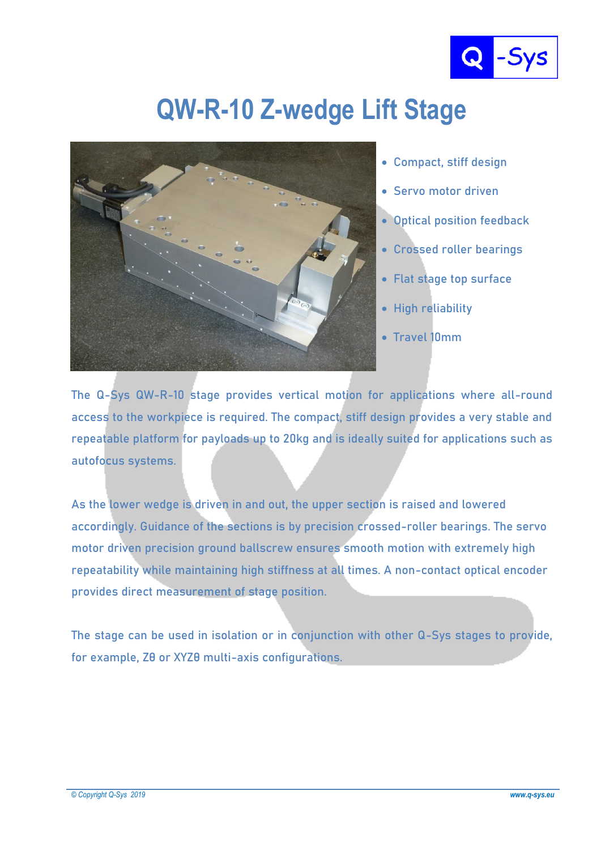

## **QW-R-10 Z-wedge Lift Stage**



- **Compact, stiff design**
- **Servo motor driven**
- **Optical position feedback**
- **Crossed roller bearings**
- **Flat stage top surface**
- **High reliability**
- **Travel 10mm**

**The Q-Sys QW-R-10 stage provides vertical motion for applications where all-round access to the workpiece is required. The compact, stiff design provides a very stable and repeatable platform for payloads up to 20kg and is ideally suited for applications such as autofocus systems.**

**As the lower wedge is driven in and out, the upper section is raised and lowered accordingly. Guidance of the sections is by precision crossed-roller bearings. The servo motor driven precision ground ballscrew ensures smooth motion with extremely high repeatability while maintaining high stiffness at all times. A non-contact optical encoder provides direct measurement of stage position.**

**The stage can be used in isolation or in conjunction with other Q-Sys stages to provide, for example, Zθ or XYZθ multi-axis configurations.**